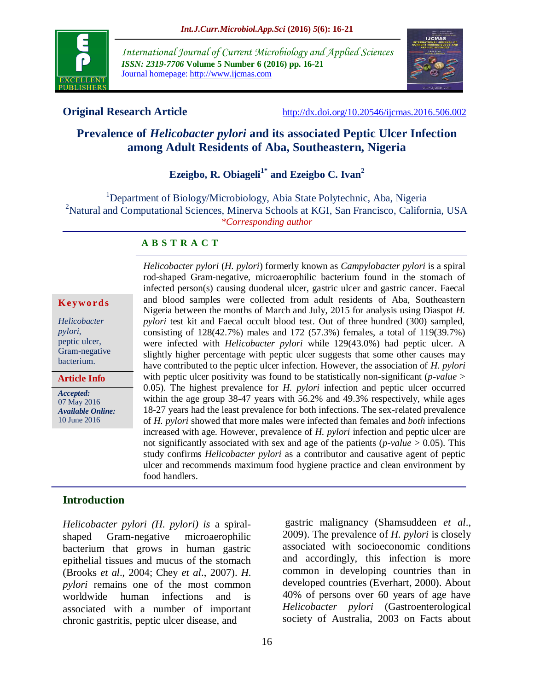

*International Journal of Current Microbiology and Applied Sciences ISSN: 2319-7706* **Volume 5 Number 6 (2016) pp. 16-21** Journal homepage: http://www.ijcmas.com



**Original Research Article** <http://dx.doi.org/10.20546/ijcmas.2016.506.002>

# **Prevalence of** *Helicobacter pylori* **and its associated Peptic Ulcer Infection among Adult Residents of Aba, Southeastern, Nigeria**

# **Ezeigbo, R. Obiageli1\* and Ezeigbo C. Ivan<sup>2</sup>**

<sup>1</sup>Department of Biology/Microbiology, Abia State Polytechnic, Aba, Nigeria <sup>2</sup>Natural and Computational Sciences, Minerva Schools at KGI, San Francisco, California, USA *\*Corresponding author*

#### **A B S T R A C T**

#### **K ey w o rd s**

*Helicobacter pylori*, peptic ulcer, Gram-negative bacterium.

**Article Info**

*Accepted:*  07 May 2016 *Available Online:* 10 June 2016

*Helicobacter pylori* (*H. pylori*) formerly known as *Campylobacter pylori* is a spiral rod-shaped Gram-negative, microaerophilic bacterium found in the stomach of infected person(s) causing duodenal ulcer, gastric ulcer and gastric cancer. Faecal and blood samples were collected from adult residents of Aba, Southeastern Nigeria between the months of March and July, 2015 for analysis using Diaspot *H. pylori* test kit and Faecal occult blood test. Out of three hundred (300) sampled, consisting of 128(42.7%) males and 172 (57.3%) females, a total of 119(39.7%) were infected with *Helicobacter pylori* while 129(43.0%) had peptic ulcer. A slightly higher percentage with peptic ulcer suggests that some other causes may have contributed to the peptic ulcer infection. However, the association of *H. pylori*  with peptic ulcer positivity was found to be statistically non-significant (*p-value* > 0.05). The highest prevalence for *H. pylori* infection and peptic ulcer occurred within the age group 38-47 years with 56.2% and 49.3% respectively, while ages 18-27 years had the least prevalence for both infections. The sex-related prevalence of *H. pylori* showed that more males were infected than females and *both* infections increased with age. However, prevalence of *H. pylori* infection and peptic ulcer are not significantly associated with sex and age of the patients ( $p$ -value  $> 0.05$ ). This study confirms *Helicobacter pylori* as a contributor and causative agent of peptic ulcer and recommends maximum food hygiene practice and clean environment by food handlers.

### **Introduction**

*Helicobacter pylori (H. pylori) is* a spiralshaped Gram-negative microaerophilic bacterium that grows in human gastric epithelial tissues and mucus of the stomach (Brooks *et al*., 2004; Chey *et al*., 2007). *H. pylori* remains one of the most common worldwide human infections and is associated with a number of important chronic gastritis, peptic ulcer disease, and

gastric malignancy (Shamsuddeen *et al*., 2009). The prevalence of *H. pylori* is closely associated with socioeconomic conditions and accordingly, this infection is more common in developing countries than in developed countries (Everhart, 2000). About 40% of persons over 60 years of age have *Helicobacter pylori* (Gastroenterological society of Australia, 2003 on Facts about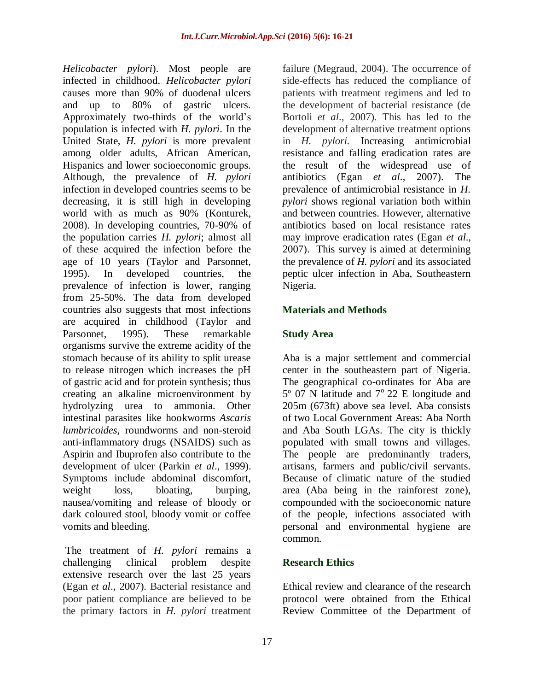*Helicobacter pylori*). Most people are infected in childhood. *Helicobacter pylori* causes more than 90% of duodenal ulcers and up to 80% of gastric ulcers. Approximately two-thirds of the world's population is infected with *H. pylori*. In the United State, *H. pylori* is more prevalent among older adults, African American, Hispanics and lower socioeconomic groups. Although, the prevalence of *H. pylori*  infection in developed countries seems to be decreasing, it is still high in developing world with as much as 90% (Konturek, 2008). In developing countries, 70-90% of the population carries *H. pylori*; almost all of these acquired the infection before the age of 10 years (Taylor and Parsonnet, 1995). In developed countries, the prevalence of infection is lower, ranging from 25-50%. The data from developed countries also suggests that most infections are acquired in childhood (Taylor and Parsonnet, 1995). These remarkable organisms survive the extreme acidity of the stomach because of its ability to split urease to release nitrogen which increases the pH of gastric acid and for protein synthesis; thus creating an alkaline microenvironment by hydrolyzing urea to ammonia. Other intestinal parasites like hookworms *Ascaris lumbricoides,* roundworms and non-steroid anti-inflammatory drugs (NSAIDS) such as Aspirin and Ibuprofen also contribute to the development of ulcer (Parkin *et al*., 1999). Symptoms include abdominal discomfort, weight loss, bloating, burping, nausea/vomiting and release of bloody or dark coloured stool, bloody vomit or coffee vomits and bleeding.

The treatment of *H. pylori* remains a challenging clinical problem despite extensive research over the last 25 years (Egan *et al*., 2007). Bacterial resistance and poor patient compliance are believed to be the primary factors in *H. pylori* treatment

failure (Megraud, 2004). The occurrence of side-effects has reduced the compliance of patients with treatment regimens and led to the development of bacterial resistance (de Bortoli *et al*., 2007). This has led to the development of alternative treatment options in *H. pylori.* Increasing antimicrobial resistance and falling eradication rates are the result of the widespread use of antibiotics (Egan *et al*., 2007). The prevalence of antimicrobial resistance in *H. pylori* shows regional variation both within and between countries. However, alternative antibiotics based on local resistance rates may improve eradication rates (Egan *et al*., 2007). This survey is aimed at determining the prevalence of *H. pylori* and its associated peptic ulcer infection in Aba, Southeastern Nigeria.

# **Materials and Methods**

# **Study Area**

Aba is a major settlement and commercial center in the southeastern part of Nigeria. The geographical co-ordinates for Aba are  $5^{\circ}$  07 N latitude and  $7^{\circ}$  22 E longitude and 205m (673ft) above sea level. Aba consists of two Local Government Areas: Aba North and Aba South LGAs. The city is thickly populated with small towns and villages. The people are predominantly traders, artisans, farmers and public/civil servants. Because of climatic nature of the studied area (Aba being in the rainforest zone), compounded with the socioeconomic nature of the people, infections associated with personal and environmental hygiene are common.

### **Research Ethics**

Ethical review and clearance of the research protocol were obtained from the Ethical Review Committee of the Department of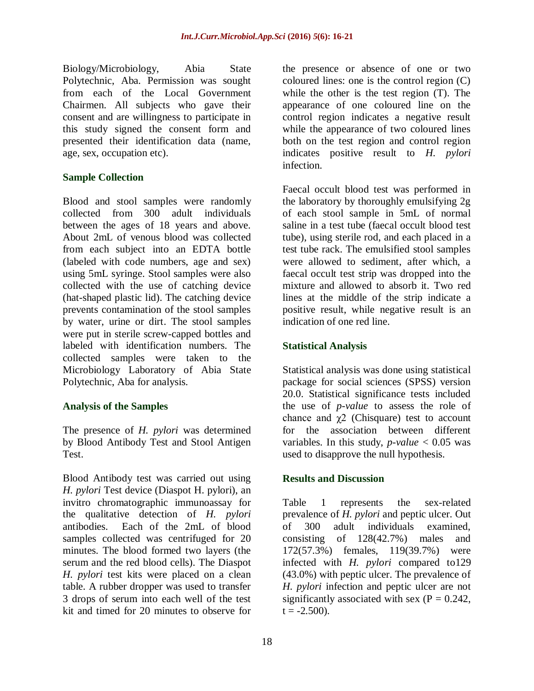Biology/Microbiology, Abia State Polytechnic, Aba. Permission was sought from each of the Local Government Chairmen. All subjects who gave their consent and are willingness to participate in this study signed the consent form and presented their identification data (name, age, sex, occupation etc).

# **Sample Collection**

Blood and stool samples were randomly collected from 300 adult individuals between the ages of 18 years and above. About 2mL of venous blood was collected from each subject into an EDTA bottle (labeled with code numbers, age and sex) using 5mL syringe. Stool samples were also collected with the use of catching device (hat-shaped plastic lid). The catching device prevents contamination of the stool samples by water, urine or dirt. The stool samples were put in sterile screw-capped bottles and labeled with identification numbers. The collected samples were taken to the Microbiology Laboratory of Abia State Polytechnic, Aba for analysis.

# **Analysis of the Samples**

The presence of *H. pylori* was determined by Blood Antibody Test and Stool Antigen Test.

Blood Antibody test was carried out using *H. pylori* Test device (Diaspot H. pylori), an invitro chromatographic immunoassay for the qualitative detection of *H. pylori*  antibodies. Each of the 2mL of blood samples collected was centrifuged for 20 minutes. The blood formed two layers (the serum and the red blood cells). The Diaspot *H. pylori* test kits were placed on a clean table. A rubber dropper was used to transfer 3 drops of serum into each well of the test kit and timed for 20 minutes to observe for

the presence or absence of one or two coloured lines: one is the control region (C) while the other is the test region (T). The appearance of one coloured line on the control region indicates a negative result while the appearance of two coloured lines both on the test region and control region indicates positive result to *H. pylori*  infection.

Faecal occult blood test was performed in the laboratory by thoroughly emulsifying 2g of each stool sample in 5mL of normal saline in a test tube (faecal occult blood test tube), using sterile rod, and each placed in a test tube rack. The emulsified stool samples were allowed to sediment, after which, a faecal occult test strip was dropped into the mixture and allowed to absorb it. Two red lines at the middle of the strip indicate a positive result, while negative result is an indication of one red line.

# **Statistical Analysis**

Statistical analysis was done using statistical package for social sciences (SPSS) version 20.0. Statistical significance tests included the use of *p-value* to assess the role of chance and  $\chi$ 2 (Chisquare) test to account for the association between different variables. In this study, *p-value* < 0.05 was used to disapprove the null hypothesis.

### **Results and Discussion**

Table 1 represents the sex-related prevalence of *H. pylori* and peptic ulcer. Out of 300 adult individuals examined, consisting of 128(42.7%) males and 172(57.3%) females, 119(39.7%) were infected with *H. pylori* compared to129 (43.0%) with peptic ulcer. The prevalence of *H. pylori* infection and peptic ulcer are not significantly associated with sex  $(P = 0.242)$ ,  $t = -2.500$ ).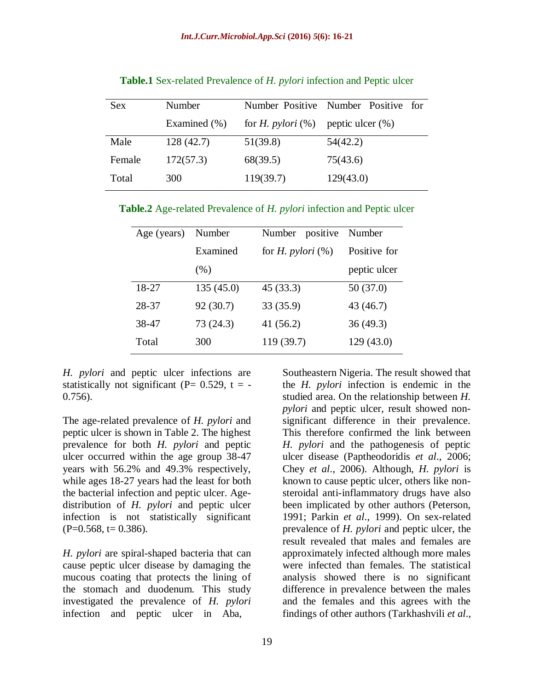| Sex    | Number       |                             | Number Positive Number Positive for |
|--------|--------------|-----------------------------|-------------------------------------|
|        | Examined (%) | for <i>H. pylori</i> $(\%)$ | peptic ulcer $(\% )$                |
| Male   | 128(42.7)    | 51(39.8)                    | 54(42.2)                            |
| Female | 172(57.3)    | 68(39.5)                    | 75(43.6)                            |
| Total  | 300          | 119(39.7)                   | 129(43.0)                           |

**Table.1** Sex-related Prevalence of *H. pylori* infection and Peptic ulcer

**Table.2** Age-related Prevalence of *H. pylori* infection and Peptic ulcer

| Age (years) | Number    | Number positive             | Number       |
|-------------|-----------|-----------------------------|--------------|
|             | Examined  | for <i>H. pylori</i> $(\%)$ | Positive for |
|             | $(\%)$    |                             | peptic ulcer |
| 18-27       | 135(45.0) | 45(33.3)                    | 50(37.0)     |
| 28-37       | 92(30.7)  | 33 (35.9)                   | 43 (46.7)    |
| 38-47       | 73 (24.3) | 41(56.2)                    | 36(49.3)     |
| Total       | 300       | 119 (39.7)                  | 129 (43.0)   |

*H. pylori* and peptic ulcer infections are statistically not significant ( $P= 0.529$ ,  $t = -$ 0.756).

The age-related prevalence of *H. pylori* and peptic ulcer is shown in Table 2. The highest prevalence for both *H. pylori* and peptic ulcer occurred within the age group 38-47 years with 56.2% and 49.3% respectively, while ages 18-27 years had the least for both the bacterial infection and peptic ulcer. Agedistribution of *H. pylori* and peptic ulcer infection is not statistically significant  $(P=0.568, t= 0.386).$ 

*H. pylori* are spiral-shaped bacteria that can cause peptic ulcer disease by damaging the mucous coating that protects the lining of the stomach and duodenum. This study investigated the prevalence of *H. pylori*  infection and peptic ulcer in Aba,

Southeastern Nigeria. The result showed that the *H. pylori* infection is endemic in the studied area. On the relationship between *H. pylori* and peptic ulcer, result showed nonsignificant difference in their prevalence. This therefore confirmed the link between *H. pylori* and the pathogenesis of peptic ulcer disease (Paptheodoridis *et al*., 2006; Chey *et al*., 2006). Although, *H. pylori* is known to cause peptic ulcer, others like nonsteroidal anti-inflammatory drugs have also been implicated by other authors (Peterson, 1991; Parkin *et al*., 1999). On sex-related prevalence of *H. pylori* and peptic ulcer, the result revealed that males and females are approximately infected although more males were infected than females. The statistical analysis showed there is no significant difference in prevalence between the males and the females and this agrees with the findings of other authors (Tarkhashvili *et al*.,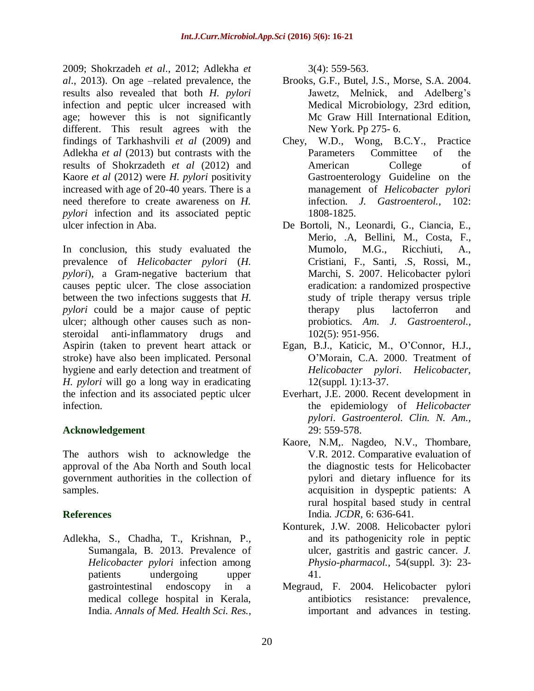2009; Shokrzadeh *et al*., 2012; Adlekha *et al*., 2013). On age –related prevalence, the results also revealed that both *H. pylori*  infection and peptic ulcer increased with age; however this is not significantly different. This result agrees with the findings of Tarkhashvili *et al* (2009) and Adlekha *et al* (2013) but contrasts with the results of Shokrzadeth *et al* (2012) and Kaore *et al* (2012) were *H. pylori* positivity increased with age of 20-40 years. There is a need therefore to create awareness on *H. pylori* infection and its associated peptic ulcer infection in Aba.

In conclusion, this study evaluated the prevalence of *Helicobacter pylori* (*H. pylori*), a Gram-negative bacterium that causes peptic ulcer. The close association between the two infections suggests that *H. pylori* could be a major cause of peptic ulcer; although other causes such as nonsteroidal anti-inflammatory drugs and Aspirin (taken to prevent heart attack or stroke) have also been implicated. Personal hygiene and early detection and treatment of *H. pylori* will go a long way in eradicating the infection and its associated peptic ulcer infection.

# **Acknowledgement**

The authors wish to acknowledge the approval of the Aba North and South local government authorities in the collection of samples.

# **References**

Adlekha, S., Chadha, T., Krishnan, P., Sumangala, B. 2013. Prevalence of *Helicobacter pylori* infection among patients undergoing upper gastrointestinal endoscopy in a medical college hospital in Kerala, India. *Annals of Med. Health Sci. Res.,*

3(4): 559-563.

- Brooks, G.F., Butel, J.S., Morse, S.A. 2004. Jawetz, Melnick, and Adelberg's Medical Microbiology, 23rd edition, Mc Graw Hill International Edition, New York. Pp 275- 6.
- Chey, W.D., Wong, B.C.Y., Practice Parameters Committee of the American College of Gastroenterology Guideline on the management of *Helicobacter pylori* infection. *J. Gastroenterol.,* 102: 1808-1825.
- De Bortoli, N., Leonardi, G., Ciancia, E., Merio, .A, Bellini, M., Costa, F., Mumolo, M.G., Ricchiuti, A., Cristiani, F., Santi, .S, Rossi, M., Marchi, S. 2007. Helicobacter pylori eradication: a randomized prospective study of triple therapy versus triple therapy plus lactoferron and probiotics. *Am. J. Gastroenterol.,* 102(5): 951-956.
- Egan, B.J., Katicic, M., O'Connor, H.J., O'Morain, C.A. 2000. Treatment of *Helicobacter pylori*. *Helicobacter,*  12(suppl. 1):13-37.
- Everhart, J.E. 2000. Recent development in the epidemiology of *Helicobacter pylori*. *Gastroenterol. Clin. N. Am.,*  29: 559-578.
- Kaore, N.M,. Nagdeo, N.V., Thombare, V.R. 2012. Comparative evaluation of the diagnostic tests for Helicobacter pylori and dietary influence for its acquisition in dyspeptic patients: A rural hospital based study in central India*. JCDR,* 6: 636-641.
- Konturek, J.W. 2008. Helicobacter pylori and its pathogenicity role in peptic ulcer, gastritis and gastric cancer*. J. Physio-pharmacol.,* 54(suppl. 3): 23- 41.
- Megraud, F. 2004. Helicobacter pylori antibiotics resistance: prevalence, important and advances in testing.